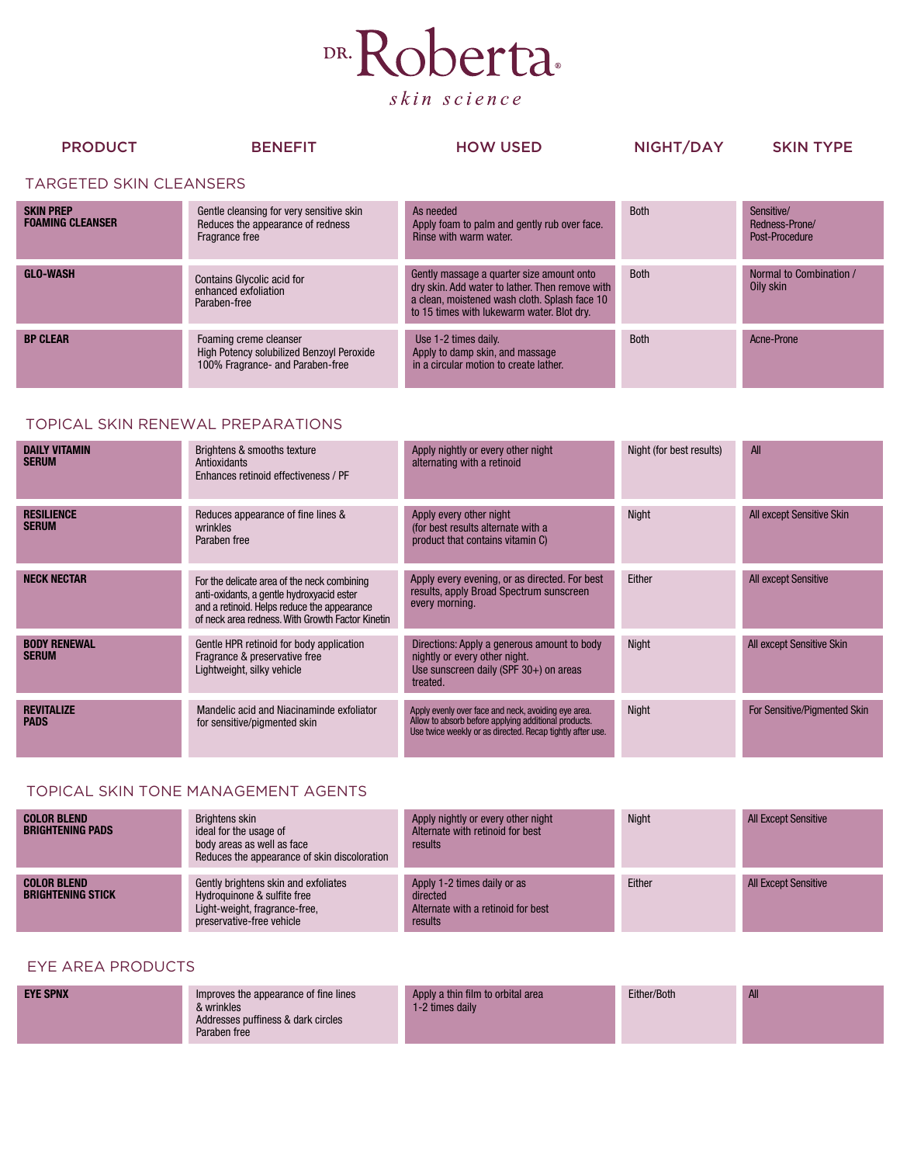

| <b>PRODUCT</b>                 | <b>BENEFIT</b>                                                                                          | <b>HOW USED</b>                                                                                                                                                                             | NIGHT/DAY   | <b>SKIN TYPE</b>                               |
|--------------------------------|---------------------------------------------------------------------------------------------------------|---------------------------------------------------------------------------------------------------------------------------------------------------------------------------------------------|-------------|------------------------------------------------|
| <b>TARGETED SKIN CLEANSERS</b> |                                                                                                         |                                                                                                                                                                                             |             |                                                |
| SKIN PREP<br>Foaming Cleanser  | Gentle cleansing for very sensitive skin<br>Reduces the appearance of redness<br>Fragrance free         | As needed<br>Apply foam to palm and gently rub over face.<br>Rinse with warm water.                                                                                                         | <b>Both</b> | Sensitive/<br>Redness-Prone/<br>Post-Procedure |
| <b>GLO-WASH</b>                | <b>Contains Glycolic acid for</b><br>enhanced exfoliation<br>Paraben-free                               | Gently massage a quarter size amount onto<br>dry skin. Add water to lather. Then remove with<br>a clean, moistened wash cloth. Splash face 10<br>to 15 times with lukewarm water. Blot dry. | <b>Both</b> | Normal to Combination /<br>Oily skin           |
| <b>BP CLEAR</b>                | Foaming creme cleanser<br>High Potency solubilized Benzoyl Peroxide<br>100% Fragrance- and Paraben-free | Use 1-2 times daily.<br>Apply to damp skin, and massage<br>in a circular motion to create lather.                                                                                           | <b>Both</b> | Acne-Prone                                     |

## TOPICAL SKIN RENEWAL PREPARATIONS

S<br>F

| <b>DAILY VITAMIN</b><br><b>SERUM</b> | Brightens & smooths texture<br>Antioxidants<br>Enhances retinoid effectiveness / PF                                                                                                         | Apply nightly or every other night<br>alternating with a retinoid                                                                                                        | Night (for best results) | All                          |
|--------------------------------------|---------------------------------------------------------------------------------------------------------------------------------------------------------------------------------------------|--------------------------------------------------------------------------------------------------------------------------------------------------------------------------|--------------------------|------------------------------|
| <b>RESILIENCE</b><br><b>SERUM</b>    | Reduces appearance of fine lines &<br>wrinkles<br>Paraben free                                                                                                                              | Apply every other night<br>(for best results alternate with a<br>product that contains vitamin C)                                                                        | <b>Night</b>             | All except Sensitive Skin    |
| <b>NECK NECTAR</b>                   | For the delicate area of the neck combining<br>anti-oxidants, a gentle hydroxyacid ester<br>and a retinoid. Helps reduce the appearance<br>of neck area redness. With Growth Factor Kinetin | Apply every evening, or as directed. For best<br>results, apply Broad Spectrum sunscreen<br>every morning.                                                               | Either                   | All except Sensitive         |
| <b>BODY RENEWAL</b><br><b>SERUM</b>  | Gentle HPR retinoid for body application<br>Fragrance & preservative free<br>Lightweight, silky vehicle                                                                                     | Directions: Apply a generous amount to body<br>nightly or every other night.<br>Use sunscreen daily (SPF $30+$ ) on areas<br>treated.                                    | <b>Night</b>             | All except Sensitive Skin    |
| <b>REVITALIZE</b><br><b>PADS</b>     | Mandelic acid and Niacinaminde exfoliator<br>for sensitive/pigmented skin                                                                                                                   | Apply evenly over face and neck, avoiding eye area.<br>Allow to absorb before applying additional products.<br>Use twice weekly or as directed. Recap tightly after use. | <b>Night</b>             | For Sensitive/Pigmented Skin |

## TOPICAL SKIN TONE MANAGEMENT AGENTS

| <b>COLOR BLEND</b><br><b>BRIGHTENING PADS</b>  | Brightens skin<br>ideal for the usage of<br>body areas as well as face<br>Reduces the appearance of skin discoloration            | Apply nightly or every other night<br>Alternate with retinoid for best<br>results        | Night  | <b>All Except Sensitive</b> |
|------------------------------------------------|-----------------------------------------------------------------------------------------------------------------------------------|------------------------------------------------------------------------------------------|--------|-----------------------------|
| <b>COLOR BLEND</b><br><b>BRIGHTENING STICK</b> | Gently brightens skin and exfoliates<br>Hydroguinone & sulfite free<br>Light-weight, fragrance-free,<br>preservative-free vehicle | Apply 1-2 times daily or as<br>directed<br>Alternate with a retinoid for best<br>results | Either | <b>All Except Sensitive</b> |

## EYE AREA PRODUCTS

|  | <b>EYE SPNX</b> | Improves the appearance of fine lines<br>& wrinkles<br>Addresses puffiness & dark circles<br>Paraben free | Apply a thin film to orbital area<br>1-2 times daily | Either/Both | <b>All</b> |
|--|-----------------|-----------------------------------------------------------------------------------------------------------|------------------------------------------------------|-------------|------------|
|--|-----------------|-----------------------------------------------------------------------------------------------------------|------------------------------------------------------|-------------|------------|